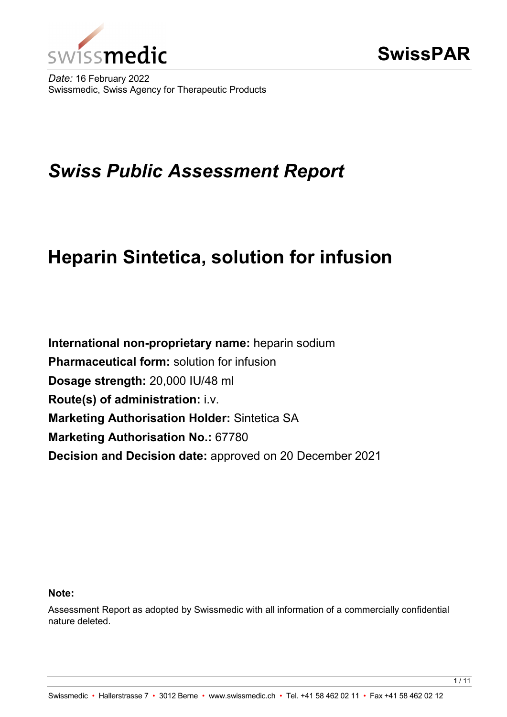

*Date:* 16 February 2022 Swissmedic, Swiss Agency for Therapeutic Products

# *Swiss Public Assessment Report*

# **Heparin Sintetica, solution for infusion**

**International non-proprietary name:** heparin sodium **Pharmaceutical form:** solution for infusion **Dosage strength:** 20,000 IU/48 ml **Route(s) of administration:** i.v. **Marketing Authorisation Holder:** Sintetica SA **Marketing Authorisation No.:** 67780 **Decision and Decision date:** approved on 20 December 2021

#### **Note:**

Assessment Report as adopted by Swissmedic with all information of a commercially confidential nature deleted.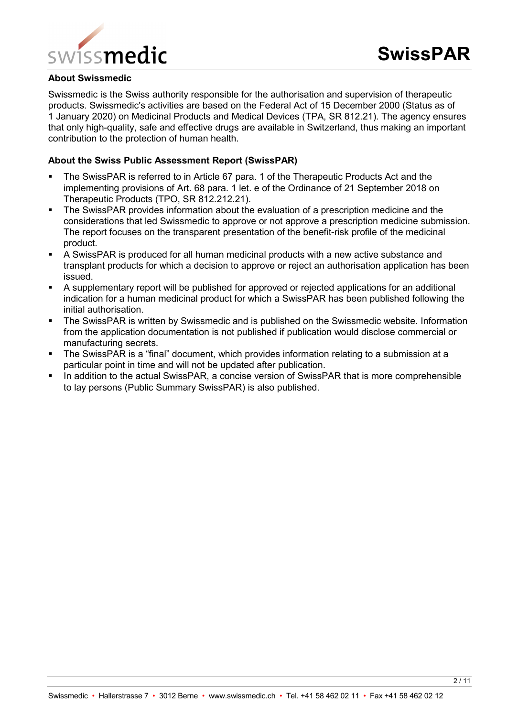

#### **About Swissmedic**

Swissmedic is the Swiss authority responsible for the authorisation and supervision of therapeutic products. Swissmedic's activities are based on the Federal Act of 15 December 2000 (Status as of 1 January 2020) on Medicinal Products and Medical Devices (TPA, SR 812.21). The agency ensures that only high-quality, safe and effective drugs are available in Switzerland, thus making an important contribution to the protection of human health.

#### **About the Swiss Public Assessment Report (SwissPAR)**

- The SwissPAR is referred to in Article 67 para. 1 of the Therapeutic Products Act and the implementing provisions of Art. 68 para. 1 let. e of the Ordinance of 21 September 2018 on Therapeutic Products (TPO, SR 812.212.21).
- The SwissPAR provides information about the evaluation of a prescription medicine and the considerations that led Swissmedic to approve or not approve a prescription medicine submission. The report focuses on the transparent presentation of the benefit-risk profile of the medicinal product.
- A SwissPAR is produced for all human medicinal products with a new active substance and transplant products for which a decision to approve or reject an authorisation application has been issued.
- A supplementary report will be published for approved or rejected applications for an additional indication for a human medicinal product for which a SwissPAR has been published following the initial authorisation.
- **The SwissPAR is written by Swissmedic and is published on the Swissmedic website. Information** from the application documentation is not published if publication would disclose commercial or manufacturing secrets.
- The SwissPAR is a "final" document, which provides information relating to a submission at a particular point in time and will not be updated after publication.
- In addition to the actual SwissPAR, a concise version of SwissPAR that is more comprehensible to lay persons (Public Summary SwissPAR) is also published.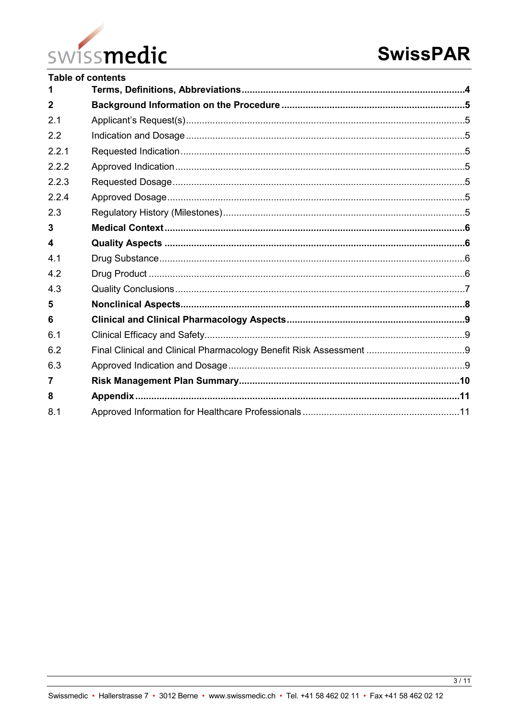

|                  | <b>Table of contents</b> |  |
|------------------|--------------------------|--|
| 1                |                          |  |
| $\overline{2}$   |                          |  |
| 2.1              |                          |  |
| 2.2              |                          |  |
| 2.2.1            |                          |  |
| 2.2.2            |                          |  |
| 2.2.3            |                          |  |
| 2.2.4            |                          |  |
| 2.3              |                          |  |
| 3                |                          |  |
| $\boldsymbol{4}$ |                          |  |
| 4.1              |                          |  |
| 4.2              |                          |  |
| 4.3              |                          |  |
| 5                |                          |  |
| 6                |                          |  |
| 6.1              |                          |  |
| 6.2              |                          |  |
| 6.3              |                          |  |
| 7                |                          |  |
| 8                |                          |  |
| 8.1              |                          |  |
|                  |                          |  |

 $\frac{3}{11}$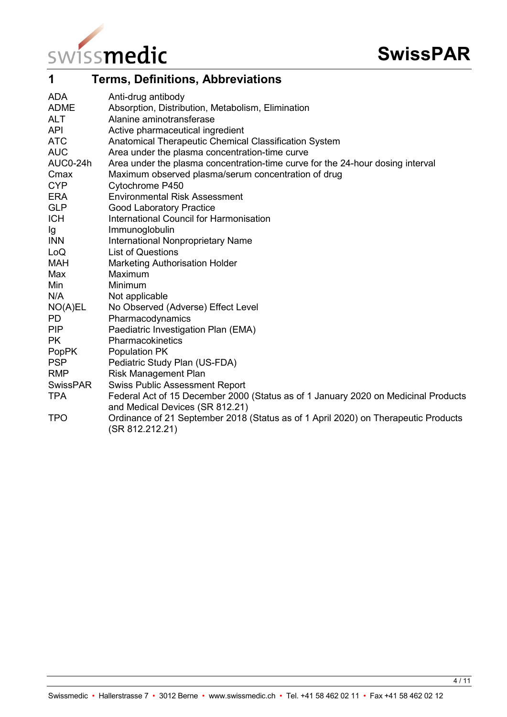

<span id="page-3-0"></span>

| 1           | <b>Terms, Definitions, Abbreviations</b>                                                                              |
|-------------|-----------------------------------------------------------------------------------------------------------------------|
| <b>ADA</b>  | Anti-drug antibody                                                                                                    |
| <b>ADME</b> | Absorption, Distribution, Metabolism, Elimination                                                                     |
| <b>ALT</b>  | Alanine aminotransferase                                                                                              |
| <b>API</b>  | Active pharmaceutical ingredient                                                                                      |
| <b>ATC</b>  | Anatomical Therapeutic Chemical Classification System                                                                 |
| <b>AUC</b>  | Area under the plasma concentration-time curve                                                                        |
| AUC0-24h    | Area under the plasma concentration-time curve for the 24-hour dosing interval                                        |
| Cmax        | Maximum observed plasma/serum concentration of drug                                                                   |
| <b>CYP</b>  | Cytochrome P450                                                                                                       |
| <b>ERA</b>  | <b>Environmental Risk Assessment</b>                                                                                  |
| <b>GLP</b>  | <b>Good Laboratory Practice</b>                                                                                       |
| <b>ICH</b>  | International Council for Harmonisation                                                                               |
| Ig          | Immunoglobulin                                                                                                        |
| <b>INN</b>  | <b>International Nonproprietary Name</b>                                                                              |
| LoQ         | <b>List of Questions</b>                                                                                              |
| <b>MAH</b>  | <b>Marketing Authorisation Holder</b>                                                                                 |
| Max         | Maximum                                                                                                               |
| Min         | Minimum                                                                                                               |
| N/A         | Not applicable                                                                                                        |
| NO(A)EL     | No Observed (Adverse) Effect Level                                                                                    |
| <b>PD</b>   | Pharmacodynamics                                                                                                      |
| <b>PIP</b>  | Paediatric Investigation Plan (EMA)                                                                                   |
| <b>PK</b>   | Pharmacokinetics                                                                                                      |
| PopPK       | Population PK                                                                                                         |
| <b>PSP</b>  | Pediatric Study Plan (US-FDA)                                                                                         |
| <b>RMP</b>  | <b>Risk Management Plan</b>                                                                                           |
| SwissPAR    | <b>Swiss Public Assessment Report</b>                                                                                 |
| <b>TPA</b>  | Federal Act of 15 December 2000 (Status as of 1 January 2020 on Medicinal Products<br>and Medical Devices (SR 812.21) |
| <b>TPO</b>  | Ordinance of 21 September 2018 (Status as of 1 April 2020) on Therapeutic Products<br>(SR 812.212.21)                 |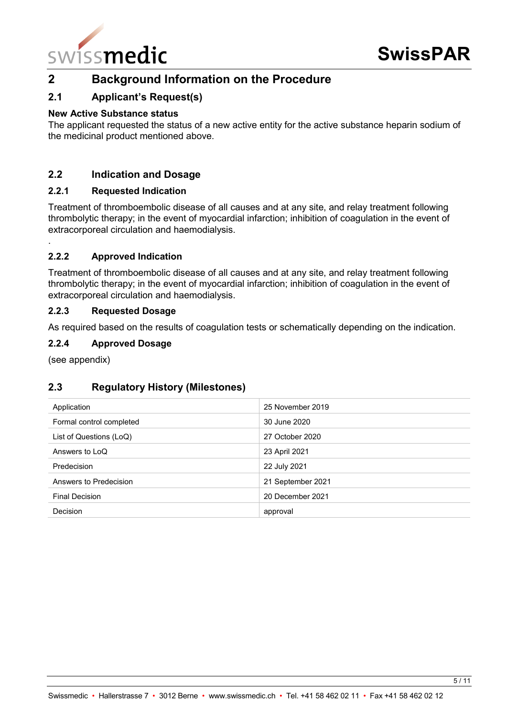

# <span id="page-4-0"></span>**2 Background Information on the Procedure**

# <span id="page-4-1"></span>**2.1 Applicant's Request(s)**

#### **New Active Substance status**

The applicant requested the status of a new active entity for the active substance heparin sodium of the medicinal product mentioned above.

# <span id="page-4-2"></span>**2.2 Indication and Dosage**

#### <span id="page-4-3"></span>**2.2.1 Requested Indication**

Treatment of thromboembolic disease of all causes and at any site, and relay treatment following thrombolytic therapy; in the event of myocardial infarction; inhibition of coagulation in the event of extracorporeal circulation and haemodialysis.

#### <span id="page-4-4"></span>**2.2.2 Approved Indication**

Treatment of thromboembolic disease of all causes and at any site, and relay treatment following thrombolytic therapy; in the event of myocardial infarction; inhibition of coagulation in the event of extracorporeal circulation and haemodialysis.

#### <span id="page-4-5"></span>**2.2.3 Requested Dosage**

As required based on the results of coagulation tests or schematically depending on the indication.

#### <span id="page-4-6"></span>**2.2.4 Approved Dosage**

(see appendix)

.

# <span id="page-4-7"></span>**2.3 Regulatory History (Milestones)**

| Application              | 25 November 2019  |
|--------------------------|-------------------|
| Formal control completed | 30 June 2020      |
| List of Questions (LoQ)  | 27 October 2020   |
| Answers to LoQ           | 23 April 2021     |
| Predecision              | 22 July 2021      |
| Answers to Predecision   | 21 September 2021 |
| <b>Final Decision</b>    | 20 December 2021  |
| <b>Decision</b>          | approval          |
|                          |                   |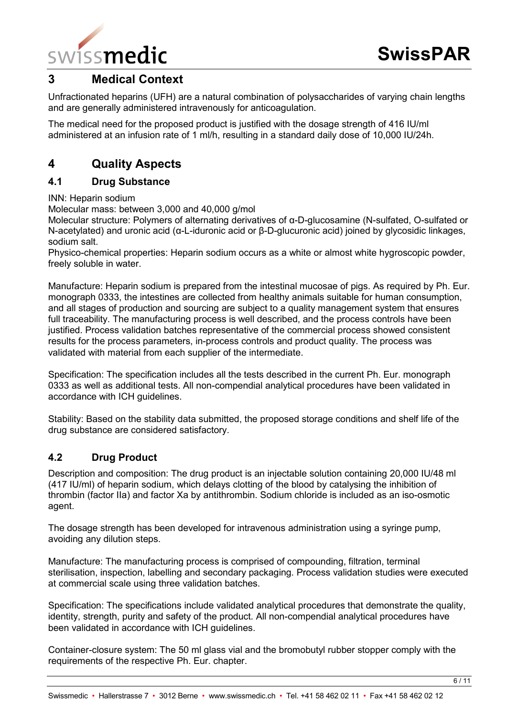

# <span id="page-5-0"></span>**3 Medical Context**

Unfractionated heparins (UFH) are a natural combination of polysaccharides of varying chain lengths and are generally administered intravenously for anticoagulation.

The medical need for the proposed product is justified with the dosage strength of 416 IU/ml administered at an infusion rate of 1 ml/h, resulting in a standard daily dose of 10,000 IU/24h.

# <span id="page-5-1"></span>**4 Quality Aspects**

### <span id="page-5-2"></span>**4.1 Drug Substance**

INN: Heparin sodium

Molecular mass: between 3,000 and 40,000 g/mol

Molecular structure: Polymers of alternating derivatives of α-D-glucosamine (N-sulfated, O-sulfated or N-acetylated) and uronic acid (α-L-iduronic acid or β-D-glucuronic acid) joined by glycosidic linkages, sodium salt.

Physico-chemical properties: Heparin sodium occurs as a white or almost white hygroscopic powder, freely soluble in water.

Manufacture: Heparin sodium is prepared from the intestinal mucosae of pigs. As required by Ph. Eur. monograph 0333, the intestines are collected from healthy animals suitable for human consumption, and all stages of production and sourcing are subject to a quality management system that ensures full traceability. The manufacturing process is well described, and the process controls have been justified. Process validation batches representative of the commercial process showed consistent results for the process parameters, in-process controls and product quality. The process was validated with material from each supplier of the intermediate.

Specification: The specification includes all the tests described in the current Ph. Eur. monograph 0333 as well as additional tests. All non-compendial analytical procedures have been validated in accordance with ICH guidelines.

Stability: Based on the stability data submitted, the proposed storage conditions and shelf life of the drug substance are considered satisfactory.

# <span id="page-5-3"></span>**4.2 Drug Product**

Description and composition: The drug product is an injectable solution containing 20,000 IU/48 ml (417 IU/ml) of heparin sodium, which delays clotting of the blood by catalysing the inhibition of thrombin (factor IIa) and factor Xa by antithrombin. Sodium chloride is included as an iso-osmotic agent.

The dosage strength has been developed for intravenous administration using a syringe pump, avoiding any dilution steps.

Manufacture: The manufacturing process is comprised of compounding, filtration, terminal sterilisation, inspection, labelling and secondary packaging. Process validation studies were executed at commercial scale using three validation batches.

Specification: The specifications include validated analytical procedures that demonstrate the quality, identity, strength, purity and safety of the product. All non-compendial analytical procedures have been validated in accordance with ICH guidelines.

Container-closure system: The 50 ml glass vial and the bromobutyl rubber stopper comply with the requirements of the respective Ph. Eur. chapter.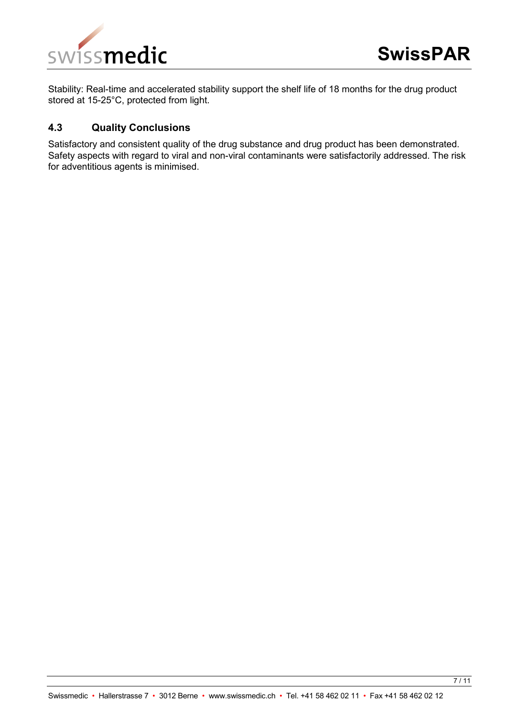

Stability: Real-time and accelerated stability support the shelf life of 18 months for the drug product stored at 15-25°C, protected from light.

#### <span id="page-6-0"></span>**4.3 Quality Conclusions**

Satisfactory and consistent quality of the drug substance and drug product has been demonstrated. Safety aspects with regard to viral and non-viral contaminants were satisfactorily addressed. The risk for adventitious agents is minimised.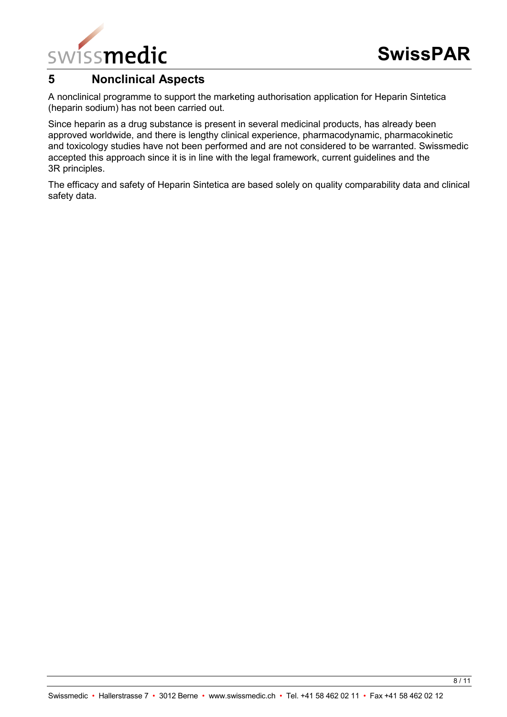

# <span id="page-7-0"></span>**5 Nonclinical Aspects**

A nonclinical programme to support the marketing authorisation application for Heparin Sintetica (heparin sodium) has not been carried out.

Since heparin as a drug substance is present in several medicinal products, has already been approved worldwide, and there is lengthy clinical experience, pharmacodynamic, pharmacokinetic and toxicology studies have not been performed and are not considered to be warranted. Swissmedic accepted this approach since it is in line with the legal framework, current guidelines and the 3R principles.

The efficacy and safety of Heparin Sintetica are based solely on quality comparability data and clinical safety data.

Swissmedic • Hallerstrasse 7 • 3012 Berne • www.swissmedic.ch • Tel. +41 58 462 02 11 • Fax +41 58 462 02 12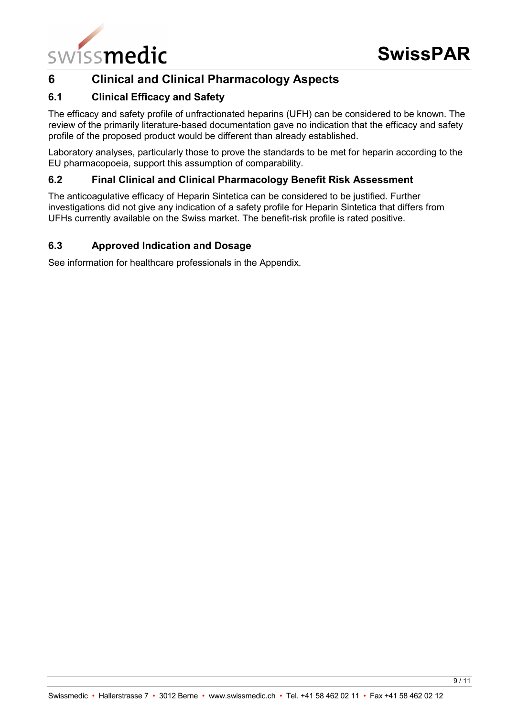

# <span id="page-8-0"></span>**6 Clinical and Clinical Pharmacology Aspects**

# <span id="page-8-1"></span>**6.1 Clinical Efficacy and Safety**

The efficacy and safety profile of unfractionated heparins (UFH) can be considered to be known. The review of the primarily literature-based documentation gave no indication that the efficacy and safety profile of the proposed product would be different than already established.

Laboratory analyses, particularly those to prove the standards to be met for heparin according to the EU pharmacopoeia, support this assumption of comparability.

## <span id="page-8-2"></span>**6.2 Final Clinical and Clinical Pharmacology Benefit Risk Assessment**

The anticoagulative efficacy of Heparin Sintetica can be considered to be justified. Further investigations did not give any indication of a safety profile for Heparin Sintetica that differs from UFHs currently available on the Swiss market. The benefit-risk profile is rated positive.

# <span id="page-8-3"></span>**6.3 Approved Indication and Dosage**

See information for healthcare professionals in the Appendix.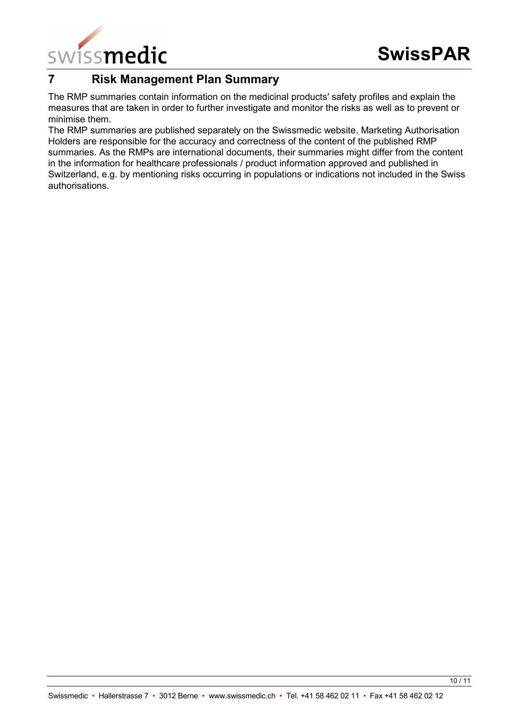

# <span id="page-9-0"></span>**7 Risk Management Plan Summary**

The RMP summaries contain information on the medicinal products′ safety profiles and explain the measures that are taken in order to further investigate and monitor the risks as well as to prevent or minimise them.

The RMP summaries are published separately on the Swissmedic website. Marketing Authorisation Holders are responsible for the accuracy and correctness of the content of the published RMP summaries. As the RMPs are international documents, their summaries might differ from the content in the information for healthcare professionals / product information approved and published in Switzerland, e.g. by mentioning risks occurring in populations or indications not included in the Swiss authorisations.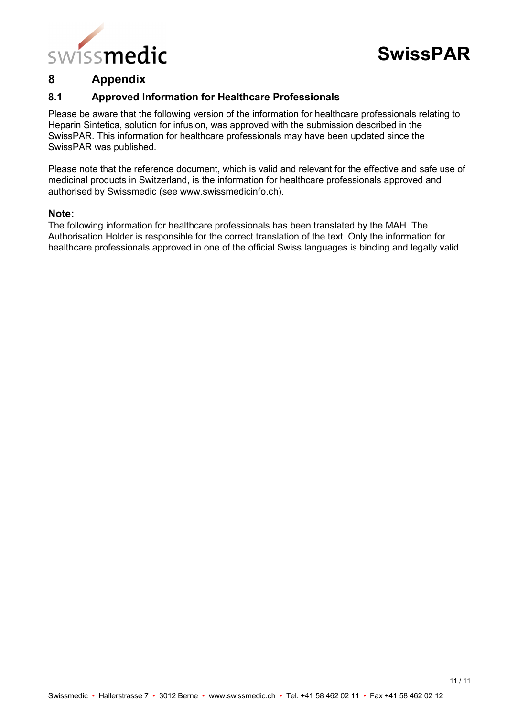

# <span id="page-10-0"></span>**8 Appendix**

# <span id="page-10-1"></span>**8.1 Approved Information for Healthcare Professionals**

Please be aware that the following version of the information for healthcare professionals relating to Heparin Sintetica, solution for infusion, was approved with the submission described in the SwissPAR. This information for healthcare professionals may have been updated since the SwissPAR was published.

Please note that the reference document, which is valid and relevant for the effective and safe use of medicinal products in Switzerland, is the information for healthcare professionals approved and authorised by Swissmedic (see www.swissmedicinfo.ch).

#### **Note:**

The following information for healthcare professionals has been translated by the MAH. The Authorisation Holder is responsible for the correct translation of the text. Only the information for healthcare professionals approved in one of the official Swiss languages is binding and legally valid.

11 / 11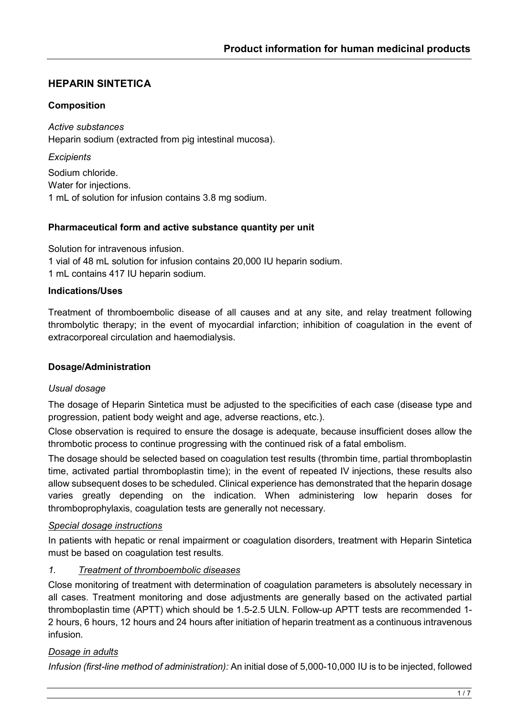# **HEPARIN SINTETICA**

## **Composition**

*Active substances* Heparin sodium (extracted from pig intestinal mucosa).

*Excipients* Sodium chloride. Water for injections. 1 mL of solution for infusion contains 3.8 mg sodium.

### **Pharmaceutical form and active substance quantity per unit**

Solution for intravenous infusion. 1 vial of 48 mL solution for infusion contains 20,000 IU heparin sodium. 1 mL contains 417 IU heparin sodium.

### **Indications/Uses**

Treatment of thromboembolic disease of all causes and at any site, and relay treatment following thrombolytic therapy; in the event of myocardial infarction; inhibition of coagulation in the event of extracorporeal circulation and haemodialysis.

### **Dosage/Administration**

### *Usual dosage*

The dosage of Heparin Sintetica must be adjusted to the specificities of each case (disease type and progression, patient body weight and age, adverse reactions, etc.).

Close observation is required to ensure the dosage is adequate, because insufficient doses allow the thrombotic process to continue progressing with the continued risk of a fatal embolism.

The dosage should be selected based on coagulation test results (thrombin time, partial thromboplastin time, activated partial thromboplastin time); in the event of repeated IV injections, these results also allow subsequent doses to be scheduled. Clinical experience has demonstrated that the heparin dosage varies greatly depending on the indication. When administering low heparin doses for thromboprophylaxis, coagulation tests are generally not necessary.

### *Special dosage instructions*

In patients with hepatic or renal impairment or coagulation disorders, treatment with Heparin Sintetica must be based on coagulation test results.

### *1. Treatment of thromboembolic diseases*

Close monitoring of treatment with determination of coagulation parameters is absolutely necessary in all cases. Treatment monitoring and dose adjustments are generally based on the activated partial thromboplastin time (APTT) which should be 1.5-2.5 ULN. Follow-up APTT tests are recommended 1- 2 hours, 6 hours, 12 hours and 24 hours after initiation of heparin treatment as a continuous intravenous infusion.

# *Dosage in adults*

*Infusion (first-line method of administration):* An initial dose of 5,000-10,000 IU is to be injected, followed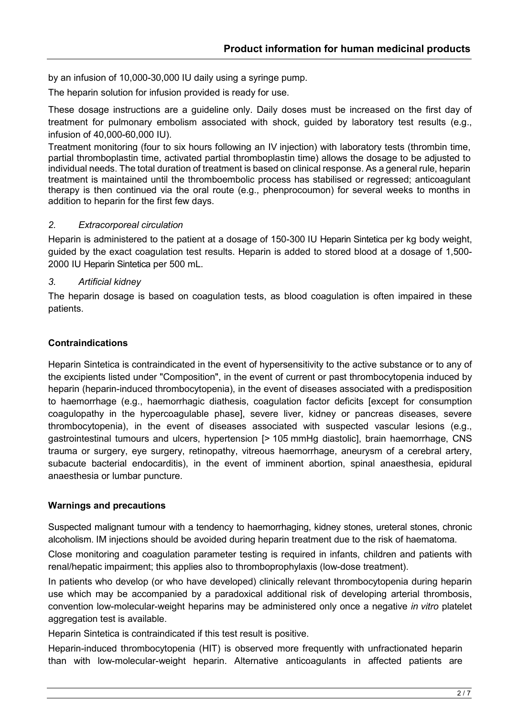by an infusion of 10,000-30,000 IU daily using a syringe pump.

The heparin solution for infusion provided is ready for use.

These dosage instructions are a guideline only. Daily doses must be increased on the first day of treatment for pulmonary embolism associated with shock, guided by laboratory test results (e.g., infusion of 40,000-60,000 IU).

Treatment monitoring (four to six hours following an IV injection) with laboratory tests (thrombin time, partial thromboplastin time, activated partial thromboplastin time) allows the dosage to be adjusted to individual needs. The total duration of treatment is based on clinical response. As a general rule, heparin treatment is maintained until the thromboembolic process has stabilised or regressed; anticoagulant therapy is then continued via the oral route (e.g., phenprocoumon) for several weeks to months in addition to heparin for the first few days.

### *2. Extracorporeal circulation*

Heparin is administered to the patient at a dosage of 150-300 IU Heparin Sintetica per kg body weight, guided by the exact coagulation test results. Heparin is added to stored blood at a dosage of 1,500- 2000 IU Heparin Sintetica per 500 mL.

# *3. Artificial kidney*

The heparin dosage is based on coagulation tests, as blood coagulation is often impaired in these patients.

# **Contraindications**

Heparin Sintetica is contraindicated in the event of hypersensitivity to the active substance or to any of the excipients listed under "Composition", in the event of current or past thrombocytopenia induced by heparin (heparin-induced thrombocytopenia), in the event of diseases associated with a predisposition to haemorrhage (e.g., haemorrhagic diathesis, coagulation factor deficits [except for consumption coagulopathy in the hypercoagulable phase], severe liver, kidney or pancreas diseases, severe thrombocytopenia), in the event of diseases associated with suspected vascular lesions (e.g., gastrointestinal tumours and ulcers, hypertension [> 105 mmHg diastolic], brain haemorrhage, CNS trauma or surgery, eye surgery, retinopathy, vitreous haemorrhage, aneurysm of a cerebral artery, subacute bacterial endocarditis), in the event of imminent abortion, spinal anaesthesia, epidural anaesthesia or lumbar puncture.

### **Warnings and precautions**

Suspected malignant tumour with a tendency to haemorrhaging, kidney stones, ureteral stones, chronic alcoholism. IM injections should be avoided during heparin treatment due to the risk of haematoma.

Close monitoring and coagulation parameter testing is required in infants, children and patients with renal/hepatic impairment; this applies also to thromboprophylaxis (low-dose treatment).

In patients who develop (or who have developed) clinically relevant thrombocytopenia during heparin use which may be accompanied by a paradoxical additional risk of developing arterial thrombosis, convention low-molecular-weight heparins may be administered only once a negative *in vitro* platelet aggregation test is available.

Heparin Sintetica is contraindicated if this test result is positive.

Heparin-induced thrombocytopenia (HIT) is observed more frequently with unfractionated heparin than with low-molecular-weight heparin. Alternative anticoagulants in affected patients are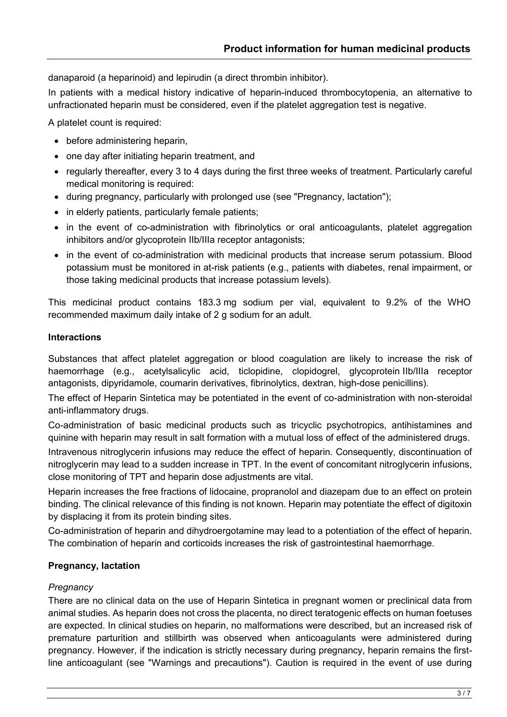danaparoid (a heparinoid) and lepirudin (a direct thrombin inhibitor).

In patients with a medical history indicative of heparin-induced thrombocytopenia, an alternative to unfractionated heparin must be considered, even if the platelet aggregation test is negative.

A platelet count is required:

- before administering heparin,
- one day after initiating heparin treatment, and
- regularly thereafter, every 3 to 4 days during the first three weeks of treatment. Particularly careful medical monitoring is required:
- during pregnancy, particularly with prolonged use (see "Pregnancy, lactation");
- in elderly patients, particularly female patients;
- in the event of co-administration with fibrinolytics or oral anticoagulants, platelet aggregation inhibitors and/or glycoprotein IIb/IIIa receptor antagonists;
- in the event of co-administration with medicinal products that increase serum potassium. Blood potassium must be monitored in at-risk patients (e.g., patients with diabetes, renal impairment, or those taking medicinal products that increase potassium levels).

This medicinal product contains 183.3 mg sodium per vial, equivalent to 9.2% of the WHO recommended maximum daily intake of 2 g sodium for an adult.

### **Interactions**

Substances that affect platelet aggregation or blood coagulation are likely to increase the risk of haemorrhage (e.g., acetylsalicylic acid, ticlopidine, clopidogrel, glycoprotein IIb/IIIa receptor antagonists, dipyridamole, coumarin derivatives, fibrinolytics, dextran, high-dose penicillins).

The effect of Heparin Sintetica may be potentiated in the event of co-administration with non-steroidal anti-inflammatory drugs.

Co-administration of basic medicinal products such as tricyclic psychotropics, antihistamines and quinine with heparin may result in salt formation with a mutual loss of effect of the administered drugs.

Intravenous nitroglycerin infusions may reduce the effect of heparin. Consequently, discontinuation of nitroglycerin may lead to a sudden increase in TPT. In the event of concomitant nitroglycerin infusions, close monitoring of TPT and heparin dose adjustments are vital.

Heparin increases the free fractions of lidocaine, propranolol and diazepam due to an effect on protein binding. The clinical relevance of this finding is not known. Heparin may potentiate the effect of digitoxin by displacing it from its protein binding sites.

Co-administration of heparin and dihydroergotamine may lead to a potentiation of the effect of heparin. The combination of heparin and corticoids increases the risk of gastrointestinal haemorrhage.

# **Pregnancy, lactation**

### *Pregnancy*

There are no clinical data on the use of Heparin Sintetica in pregnant women or preclinical data from animal studies. As heparin does not cross the placenta, no direct teratogenic effects on human foetuses are expected. In clinical studies on heparin, no malformations were described, but an increased risk of premature parturition and stillbirth was observed when anticoagulants were administered during pregnancy. However, if the indication is strictly necessary during pregnancy, heparin remains the firstline anticoagulant (see "Warnings and precautions"). Caution is required in the event of use during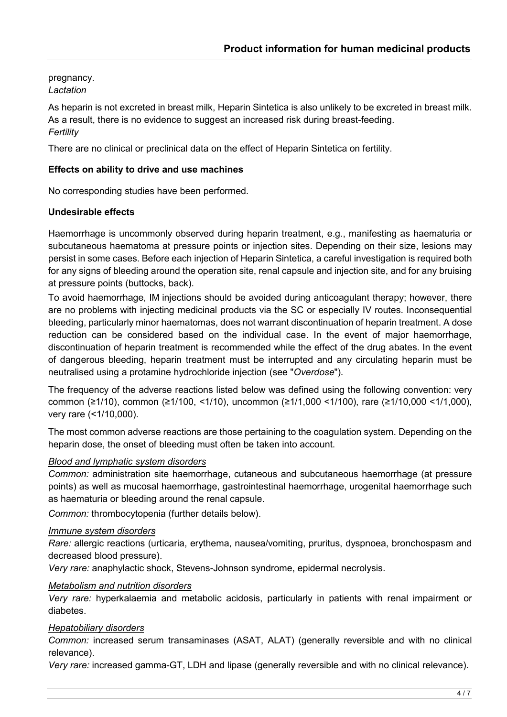pregnancy. *Lactation*

As heparin is not excreted in breast milk, Heparin Sintetica is also unlikely to be excreted in breast milk. As a result, there is no evidence to suggest an increased risk during breast-feeding. *Fertility*

There are no clinical or preclinical data on the effect of Heparin Sintetica on fertility.

## **Effects on ability to drive and use machines**

No corresponding studies have been performed.

### **Undesirable effects**

Haemorrhage is uncommonly observed during heparin treatment, e.g., manifesting as haematuria or subcutaneous haematoma at pressure points or injection sites. Depending on their size, lesions may persist in some cases. Before each injection of Heparin Sintetica, a careful investigation is required both for any signs of bleeding around the operation site, renal capsule and injection site, and for any bruising at pressure points (buttocks, back).

To avoid haemorrhage, IM injections should be avoided during anticoagulant therapy; however, there are no problems with injecting medicinal products via the SC or especially IV routes. Inconsequential bleeding, particularly minor haematomas, does not warrant discontinuation of heparin treatment. A dose reduction can be considered based on the individual case. In the event of major haemorrhage, discontinuation of heparin treatment is recommended while the effect of the drug abates. In the event of dangerous bleeding, heparin treatment must be interrupted and any circulating heparin must be neutralised using a protamine hydrochloride injection (see "*Overdose*").

The frequency of the adverse reactions listed below was defined using the following convention: very common (≥1/10), common (≥1/100, <1/10), uncommon (≥1/1,000 <1/100), rare (≥1/10,000 <1/1,000), very rare (<1/10,000).

The most common adverse reactions are those pertaining to the coagulation system. Depending on the heparin dose, the onset of bleeding must often be taken into account.

### *Blood and lymphatic system disorders*

*Common:* administration site haemorrhage, cutaneous and subcutaneous haemorrhage (at pressure points) as well as mucosal haemorrhage, gastrointestinal haemorrhage, urogenital haemorrhage such as haematuria or bleeding around the renal capsule.

*Common:* thrombocytopenia (further details below).

#### *Immune system disorders*

*Rare:* allergic reactions (urticaria, erythema, nausea/vomiting, pruritus, dyspnoea, bronchospasm and decreased blood pressure).

*Very rare:* anaphylactic shock, Stevens-Johnson syndrome, epidermal necrolysis.

#### *Metabolism and nutrition disorders*

*Very rare:* hyperkalaemia and metabolic acidosis, particularly in patients with renal impairment or diabetes.

### *Hepatobiliary disorders*

*Common:* increased serum transaminases (ASAT, ALAT) (generally reversible and with no clinical relevance).

*Very rare:* increased gamma-GT, LDH and lipase (generally reversible and with no clinical relevance).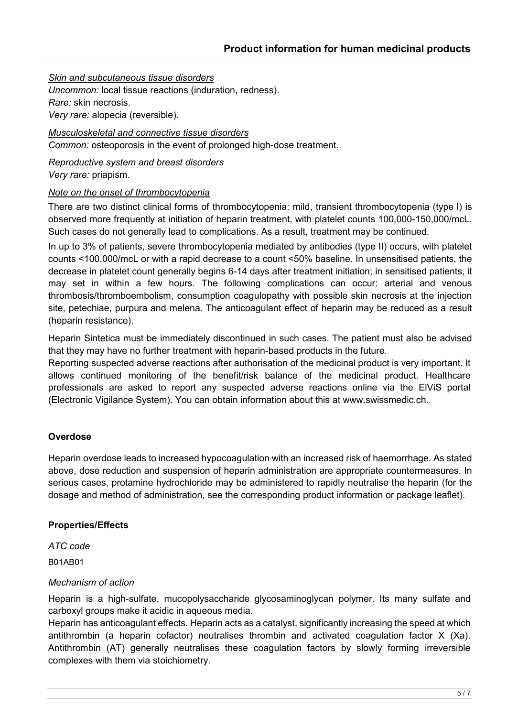*Skin and subcutaneous tissue disorders*

*Uncommon:* local tissue reactions (induration, redness). *Rare:* skin necrosis. *Very rare:* alopecia (reversible).

*Musculoskeletal and connective tissue disorders Common:* osteoporosis in the event of prolonged high-dose treatment.

*Reproductive system and breast disorders*

*Very rare:* priapism.

### *Note on the onset of thrombocytopenia*

There are two distinct clinical forms of thrombocytopenia: mild, transient thrombocytopenia (type I) is observed more frequently at initiation of heparin treatment, with platelet counts 100,000-150,000/mcL. Such cases do not generally lead to complications. As a result, treatment may be continued.

In up to 3% of patients, severe thrombocytopenia mediated by antibodies (type II) occurs, with platelet counts <100,000/mcL or with a rapid decrease to a count <50% baseline. In unsensitised patients, the decrease in platelet count generally begins 6-14 days after treatment initiation; in sensitised patients, it may set in within a few hours. The following complications can occur: arterial and venous thrombosis/thromboembolism, consumption coagulopathy with possible skin necrosis at the injection site, petechiae, purpura and melena. The anticoagulant effect of heparin may be reduced as a result (heparin resistance).

Heparin Sintetica must be immediately discontinued in such cases. The patient must also be advised that they may have no further treatment with heparin-based products in the future.

Reporting suspected adverse reactions after authorisation of the medicinal product is very important. It allows continued monitoring of the benefit/risk balance of the medicinal product. Healthcare professionals are asked to report any suspected adverse reactions online via the ElViS portal (Electronic Vigilance System). You can obtain information about this at www.swissmedic.ch.

### **Overdose**

Heparin overdose leads to increased hypocoagulation with an increased risk of haemorrhage. As stated above, dose reduction and suspension of heparin administration are appropriate countermeasures. In serious cases, protamine hydrochloride may be administered to rapidly neutralise the heparin (for the dosage and method of administration, see the corresponding product information or package leaflet).

### **Properties/Effects**

*ATC code* B01AB01

## *Mechanism of action*

Heparin is a high-sulfate, mucopolysaccharide glycosaminoglycan polymer. Its many sulfate and carboxyl groups make it acidic in aqueous media.

Heparin has anticoagulant effects. Heparin acts as a catalyst, significantly increasing the speed at which antithrombin (a heparin cofactor) neutralises thrombin and activated coagulation factor X (Xa). Antithrombin (AT) generally neutralises these coagulation factors by slowly forming irreversible complexes with them via stoichiometry.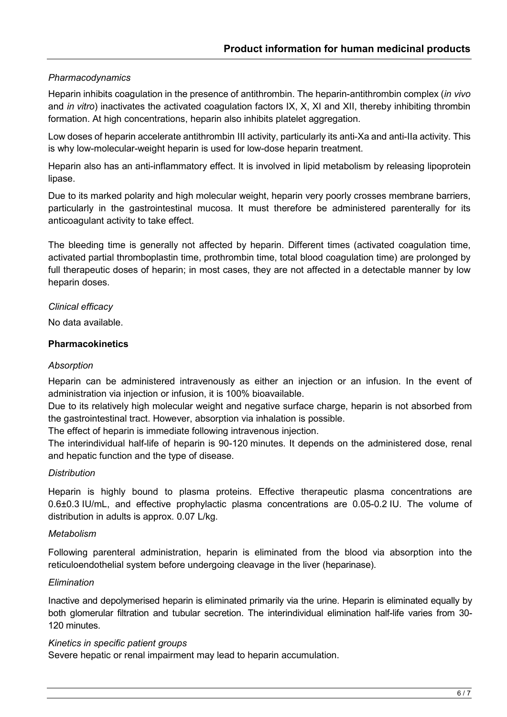# *Pharmacodynamics*

Heparin inhibits coagulation in the presence of antithrombin. The heparin-antithrombin complex (*in vivo*  and *in vitro*) inactivates the activated coagulation factors IX, X, XI and XII, thereby inhibiting thrombin formation. At high concentrations, heparin also inhibits platelet aggregation.

Low doses of heparin accelerate antithrombin III activity, particularly its anti-Xa and anti-IIa activity. This is why low-molecular-weight heparin is used for low-dose heparin treatment.

Heparin also has an anti-inflammatory effect. It is involved in lipid metabolism by releasing lipoprotein lipase.

Due to its marked polarity and high molecular weight, heparin very poorly crosses membrane barriers, particularly in the gastrointestinal mucosa. It must therefore be administered parenterally for its anticoagulant activity to take effect.

The bleeding time is generally not affected by heparin. Different times (activated coagulation time, activated partial thromboplastin time, prothrombin time, total blood coagulation time) are prolonged by full therapeutic doses of heparin; in most cases, they are not affected in a detectable manner by low heparin doses.

*Clinical efficacy*

No data available.

#### **Pharmacokinetics**

#### *Absorption*

Heparin can be administered intravenously as either an injection or an infusion. In the event of administration via injection or infusion, it is 100% bioavailable.

Due to its relatively high molecular weight and negative surface charge, heparin is not absorbed from the gastrointestinal tract. However, absorption via inhalation is possible.

The effect of heparin is immediate following intravenous injection.

The interindividual half-life of heparin is 90-120 minutes. It depends on the administered dose, renal and hepatic function and the type of disease.

#### *Distribution*

Heparin is highly bound to plasma proteins. Effective therapeutic plasma concentrations are 0.6±0.3 IU/mL, and effective prophylactic plasma concentrations are 0.05-0.2 IU. The volume of distribution in adults is approx. 0.07 L/kg.

#### *Metabolism*

Following parenteral administration, heparin is eliminated from the blood via absorption into the reticuloendothelial system before undergoing cleavage in the liver (heparinase).

#### *Elimination*

Inactive and depolymerised heparin is eliminated primarily via the urine. Heparin is eliminated equally by both glomerular filtration and tubular secretion. The interindividual elimination half-life varies from 30- 120 minutes.

#### *Kinetics in specific patient groups*

Severe hepatic or renal impairment may lead to heparin accumulation.